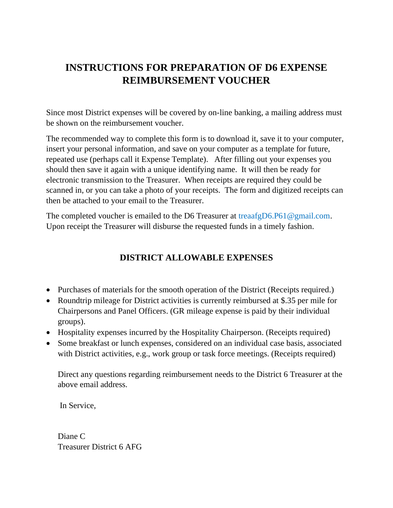## **INSTRUCTIONS FOR PREPARATION OF D6 EXPENSE REIMBURSEMENT VOUCHER**

Since most District expenses will be covered by on-line banking, a mailing address must be shown on the reimbursement voucher.

The recommended way to complete this form is to download it, save it to your computer, insert your personal information, and save on your computer as a template for future, repeated use (perhaps call it Expense Template). After filling out your expenses you should then save it again with a unique identifying name. It will then be ready for electronic transmission to the Treasurer. When receipts are required they could be scanned in, or you can take a photo of your receipts. The form and digitized receipts can then be attached to your email to the Treasurer.

The completed voucher is emailed to the D6 Treasurer at treasfgD6.P61@gmail.com. Upon receipt the Treasurer will disburse the requested funds in a timely fashion.

## **DISTRICT ALLOWABLE EXPENSES**

- Purchases of materials for the smooth operation of the District (Receipts required.)
- Roundtrip mileage for District activities is currently reimbursed at \$.35 per mile for Chairpersons and Panel Officers. (GR mileage expense is paid by their individual groups).
- Hospitality expenses incurred by the Hospitality Chairperson. (Receipts required)
- Some breakfast or lunch expenses, considered on an individual case basis, associated with District activities, e.g., work group or task force meetings. (Receipts required)

Direct any questions regarding reimbursement needs to the District 6 Treasurer at the above email address.

In Service,

Diane C Treasurer District 6 AFG